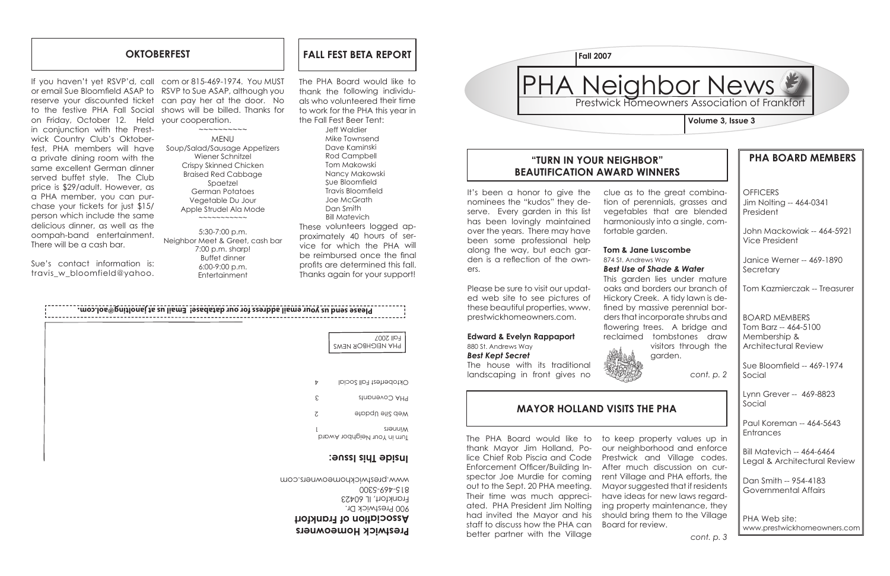

**OFFICERS** Jim Nolting -- 464-0341 President

# **PHA BOARD MEMBERS**

Janice Werner -- 469-1890 **Secretary** 

John Mackowiak -- 464-5921 Vice President

Paul Koreman -- 464-5643 **Entrances** 

Tom Kazmierczak -- Treasurer

BOARD MEMBERS Tom Barz -- 464-5100 Membership & Architectural Review

Sue Bloomfield -- 469-1974 Social

# PHA Neighbor News **Fall 2007**

Lynn Grever -- 469-8823 Social

Bill Matevich -- 464-6464 Legal & Architectural Review

Dan Smith -- 954-4183 Governmental Affairs

PHA Web site: www.prestwickhomeowners.com

### **"TURN IN YOUR NEIGHBOR" BEAUTIFICATION AWARD WINNERS**

**MAYOR HOLLAND VISITS THE PHA**

**Volume 3, Issue 3**

**Prestwick Homeowners Association of Frankfort** 900 Prestwick Dr. Frankfort, IL 60423 815-469-5300 www.prestwickhomeowners.com

The PHA Board would like to thank the following individuals who volunteered their time to work for the PHA this year in the Fall Fest Beer Tent:

|                                        | Please send us your email address for our database! Email us at janolting@aol.com. |
|----------------------------------------|------------------------------------------------------------------------------------|
| Fall 2007<br><b>PHA NEIGHBOR NEWS</b>  |                                                                                    |
| Oktoberfest Fall Social                | Þ                                                                                  |
| PHA Covenants                          | ε                                                                                  |
| Web Site Update                        | $\zeta$                                                                            |
| Winners<br>Turn in Your Neighbor Award |                                                                                    |
| inside This Issue:                     |                                                                                    |

Jeff Waldier Mike Townsend Dave Kaminski Rod Campbell Tom Makowski Nancy Makowski Sue Bloomfield Travis Bloomfield Joe McGrath Dan Smith Bill Matevich

These volunteers logged approximately 40 hours of service for which the PHA will be reimbursed once the final profits are determined this fall. Thanks again for your support!

Sue's contact information is: travis w bloomfield@yahoo.

## **OKTOBERFEST**

It's been a honor to give the nominees the "kudos" they deserve. Every garden in this list has been lovingly maintained over the years. There may have been some professional help along the way, but each garden is a reflection of the owners.

 $\sim$  $\sim$  $\sim$  $\sim$  $\sim$  $\sim$  $\sim$  $\sim$ MENU Soup/Salad/Sausage Appetizers Wiener Schnitzel Crispy Skinned Chicken Braised Red Cabbage Spaetzel German Potatoes Vegetable Du Jour Apple Strudel Ala Mode ~~~~~~~~~~~

> Please be sure to visit our updated web site to see pictures of these beautiful properties, www. prestwickhomeowners.com.

#### **Edward & Evelyn Rappaport** 880 St. Andrews Way *Best Kept Secret*

The house with its traditional landscaping in front gives no



clue as to the great combination of perennials, grasses and vegetables that are blended harmoniously into a single, comfortable garden.

### **Tom & Jane Luscombe**

874 St. Andrews Way

#### *Best Use of Shade & Water*

This garden lies under mature oaks and borders our branch of Hickory Creek. A tidy lawn is defined by massive perennial borders that incorporate shrubs and flowering trees. A bridge and reclaimed tombstones draw visitors through the garden.

*cont. p. 2*

If you haven't yet RSVP'd, call com or 815-469-1974. You MUST or email Sue Bloomfield ASAP to RSVP to Sue ASAP, although you reserve your discounted ticket can pay her at the door. No to the festive PHA Fall Social on Friday, October 12. Held in conjunction with the Prestwick Country Club's Oktoberfest, PHA members will have a private dining room with the same excellent German dinner served buffet style. The Club price is \$29/adult. However, as a PHA member, you can purchase your tickets for just \$15/ person which include the same delicious dinner, as well as the oompah-band entertainment. There will be a cash bar.

shows will be billed. Thanks for your cooperation.

5:30-7:00 p.m. Neighbor Meet & Greet, cash bar 7:00 p.m. sharp! Buffet dinner 6:00-9:00 p.m. Entertainment

**FALL FEST BETA REPORT**

The PHA Board would like to thank Mayor Jim Holland, Po-Enforcement Officer/Building Inspector Joe Murdie for coming out to the Sept. 20 PHA meeting. Their time was much appreciated. PHA President Jim Nolting had invited the Mayor and his staff to discuss how the PHA can better partner with the Village

lice Chief Rob Piscia and Code Prestwick and Village codes. to keep property values up in our neighborhood and enforce After much discussion on current Village and PHA efforts, the Mayor suggested that if residents have ideas for new laws regarding property maintenance, they should bring them to the Village Board for review.

*cont. p. 3*